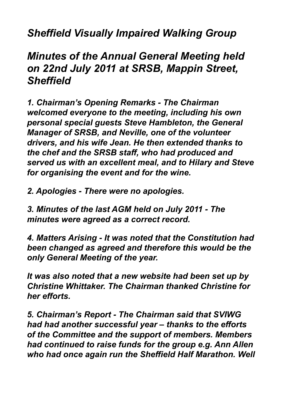## *Sheffield Visually Impaired Walking Group*

## *Minutes of the Annual General Meeting held on 22nd July 2011 at SRSB, Mappin Street, Sheffield*

*1. Chairman's Opening Remarks - The Chairman welcomed everyone to the meeting, including his own personal special guests Steve Hambleton, the General Manager of SRSB, and Neville, one of the volunteer drivers, and his wife Jean. He then extended thanks to the chef and the SRSB staff, who had produced and served us with an excellent meal, and to Hilary and Steve for organising the event and for the wine.*

*2. Apologies - There were no apologies.*

*3. Minutes of the last AGM held on July 2011 - The minutes were agreed as a correct record.*

*4. Matters Arising - It was noted that the Constitution had been changed as agreed and therefore this would be the only General Meeting of the year.*

*It was also noted that a new website had been set up by Christine Whittaker. The Chairman thanked Christine for her efforts.*

*5. Chairman's Report - The Chairman said that SVIWG had had another successful year – thanks to the efforts of the Committee and the support of members. Members had continued to raise funds for the group e.g. Ann Allen who had once again run the Sheffield Half Marathon. Well*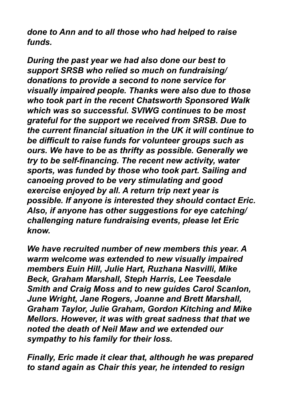*done to Ann and to all those who had helped to raise funds.*

*During the past year we had also done our best to support SRSB who relied so much on fundraising/ donations to provide a second to none service for visually impaired people. Thanks were also due to those who took part in the recent Chatsworth Sponsored Walk which was so successful. SVIWG continues to be most grateful for the support we received from SRSB. Due to the current financial situation in the UK it will continue to be difficult to raise funds for volunteer groups such as ours. We have to be as thrifty as possible. Generally we try to be self-financing. The recent new activity, water sports, was funded by those who took part. Sailing and canoeing proved to be very stimulating and good exercise enjoyed by all. A return trip next year is possible. If anyone is interested they should contact Eric. Also, if anyone has other suggestions for eye catching/ challenging nature fundraising events, please let Eric know.*

*We have recruited number of new members this year. A warm welcome was extended to new visually impaired members Euin Hill, Julie Hart, Ruzhana Nasvilli, Mike Beck, Graham Marshall, Steph Harris, Lee Teesdale Smith and Craig Moss and to new guides Carol Scanlon, June Wright, Jane Rogers, Joanne and Brett Marshall, Graham Taylor, Julie Graham, Gordon Kitching and Mike Mellors. However, it was with great sadness that that we noted the death of Neil Maw and we extended our sympathy to his family for their loss.*

*Finally, Eric made it clear that, although he was prepared to stand again as Chair this year, he intended to resign*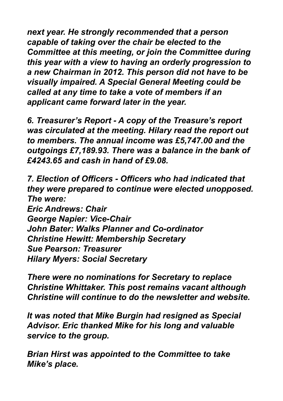*next year. He strongly recommended that a person capable of taking over the chair be elected to the Committee at this meeting, or join the Committee during this year with a view to having an orderly progression to a new Chairman in 2012. This person did not have to be visually impaired. A Special General Meeting could be called at any time to take a vote of members if an applicant came forward later in the year.*

*6. Treasurer's Report - A copy of the Treasure's report was circulated at the meeting. Hilary read the report out to members. The annual income was £5,747.00 and the outgoings £7,189.93. There was a balance in the bank of £4243.65 and cash in hand of £9.08.*

*7. Election of Officers - Officers who had indicated that they were prepared to continue were elected unopposed. The were: Eric Andrews: Chair George Napier: Vice-Chair John Bater: Walks Planner and Co-ordinator Christine Hewitt: Membership Secretary Sue Pearson: Treasurer Hilary Myers: Social Secretary*

*There were no nominations for Secretary to replace Christine Whittaker. This post remains vacant although Christine will continue to do the newsletter and website.*

*It was noted that Mike Burgin had resigned as Special Advisor. Eric thanked Mike for his long and valuable service to the group.*

*Brian Hirst was appointed to the Committee to take Mike's place.*